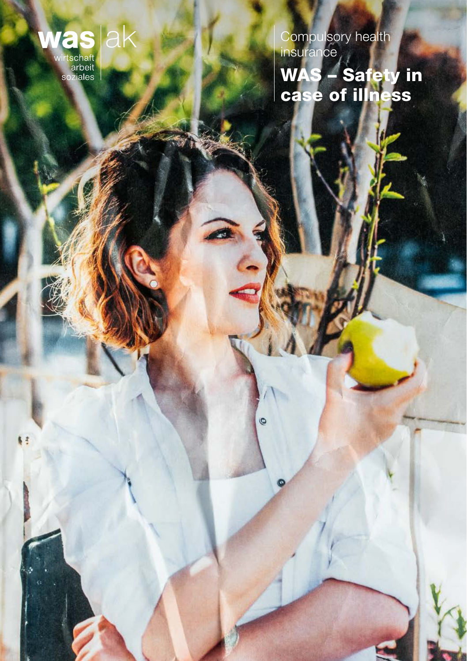

k:

Compulsory health insurance WAS – Safety in case of illness

 $\odot$ 

 $\bullet$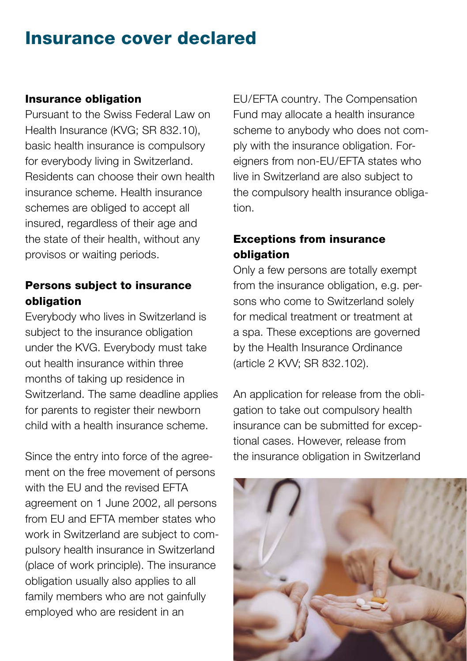## Insurance cover declared

#### Insurance obligation

Pursuant to the Swiss Federal Law on Health Insurance (KVG; SR 832.10), basic health insurance is compulsory for everybody living in Switzerland. Residents can choose their own health insurance scheme. Health insurance schemes are obliged to accept all insured, regardless of their age and the state of their health, without any provisos or waiting periods.

#### Persons subject to insurance obligation

Everybody who lives in Switzerland is subject to the insurance obligation under the KVG. Everybody must take out health insurance within three months of taking up residence in Switzerland. The same deadline applies for parents to register their newborn child with a health insurance scheme.

Since the entry into force of the agreement on the free movement of persons with the EU and the revised EFTA agreement on 1 June 2002, all persons from EU and EFTA member states who work in Switzerland are subject to compulsory health insurance in Switzerland (place of work principle). The insurance obligation usually also applies to all family members who are not gainfully employed who are resident in an

EU/EFTA country. The Compensation Fund may allocate a health insurance scheme to anybody who does not comply with the insurance obligation. Foreigners from non-EU/EFTA states who live in Switzerland are also subject to the compulsory health insurance obligation.

### Exceptions from insurance obligation

Only a few persons are totally exempt from the insurance obligation, e.g. persons who come to Switzerland solely for medical treatment or treatment at a spa. These exceptions are governed by the Health Insurance Ordinance (article 2 KVV; SR 832.102).

An application for release from the obligation to take out compulsory health insurance can be submitted for exceptional cases. However, release from the insurance obligation in Switzerland

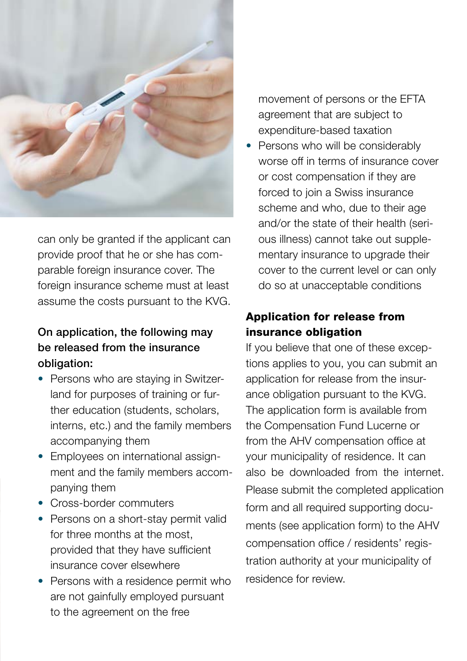

can only be granted if the applicant can provide proof that he or she has comparable foreign insurance cover. The foreign insurance scheme must at least assume the costs pursuant to the KVG.

### On application, the following may be released from the insurance obligation:

- Persons who are staying in Switzerland for purposes of training or further education (students, scholars, interns, etc.) and the family members accompanying them
- Employees on international assignment and the family members accompanying them
- Cross-border commuters
- Persons on a short-stay permit valid for three months at the most, provided that they have sufficient insurance cover elsewhere
- Persons with a residence permit who are not gainfully employed pursuant to the agreement on the free

movement of persons or the EFTA agreement that are subject to expenditure-based taxation

• Persons who will be considerably worse off in terms of insurance cover or cost compensation if they are forced to join a Swiss insurance scheme and who, due to their age and/or the state of their health (serious illness) cannot take out supplementary insurance to upgrade their cover to the current level or can only do so at unacceptable conditions

## Application for release from insurance obligation

If you believe that one of these exceptions applies to you, you can submit an application for release from the insurance obligation pursuant to the KVG. The application form is available from the Compensation Fund Lucerne or from the AHV compensation office at your municipality of residence. It can also be downloaded from the internet Please submit the completed application form and all required supporting documents (see application form) to the AHV compensation office / residents' registration authority at your municipality of residence for review.